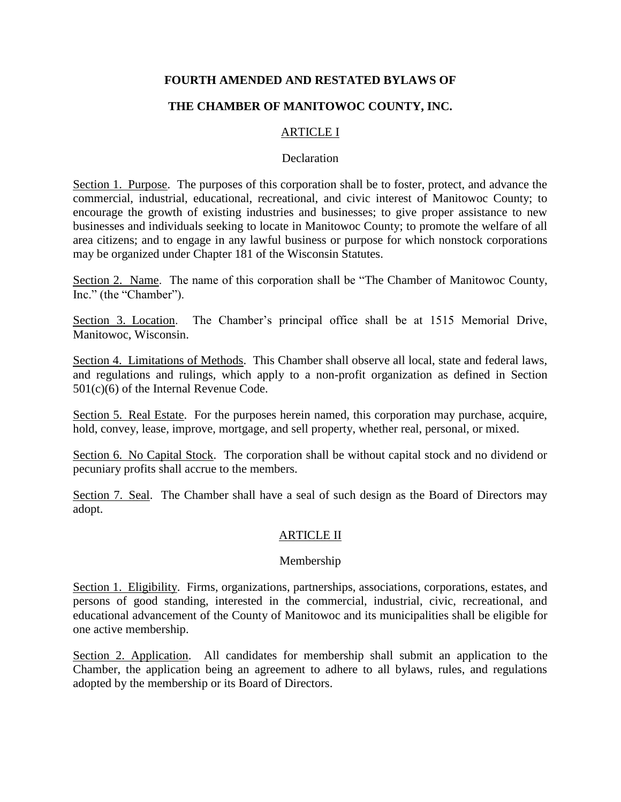## **FOURTH AMENDED AND RESTATED BYLAWS OF**

# **THE CHAMBER OF MANITOWOC COUNTY, INC.**

## ARTICLE I

#### **Declaration**

Section 1. Purpose. The purposes of this corporation shall be to foster, protect, and advance the commercial, industrial, educational, recreational, and civic interest of Manitowoc County; to encourage the growth of existing industries and businesses; to give proper assistance to new businesses and individuals seeking to locate in Manitowoc County; to promote the welfare of all area citizens; and to engage in any lawful business or purpose for which nonstock corporations may be organized under Chapter 181 of the Wisconsin Statutes.

Section 2. Name. The name of this corporation shall be "The Chamber of Manitowoc County, Inc." (the "Chamber").

Section 3. Location. The Chamber's principal office shall be at 1515 Memorial Drive, Manitowoc, Wisconsin.

Section 4. Limitations of Methods. This Chamber shall observe all local, state and federal laws, and regulations and rulings, which apply to a non-profit organization as defined in Section 501(c)(6) of the Internal Revenue Code.

Section 5. Real Estate. For the purposes herein named, this corporation may purchase, acquire, hold, convey, lease, improve, mortgage, and sell property, whether real, personal, or mixed.

Section 6. No Capital Stock. The corporation shall be without capital stock and no dividend or pecuniary profits shall accrue to the members.

Section 7. Seal. The Chamber shall have a seal of such design as the Board of Directors may adopt.

#### ARTICLE II

#### Membership

Section 1. Eligibility. Firms, organizations, partnerships, associations, corporations, estates, and persons of good standing, interested in the commercial, industrial, civic, recreational, and educational advancement of the County of Manitowoc and its municipalities shall be eligible for one active membership.

Section 2. Application. All candidates for membership shall submit an application to the Chamber, the application being an agreement to adhere to all bylaws, rules, and regulations adopted by the membership or its Board of Directors.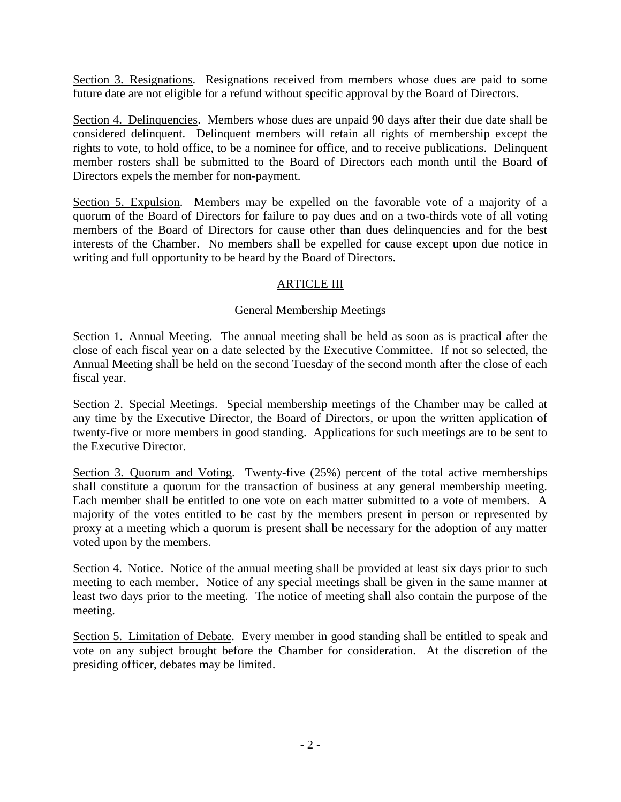Section 3. Resignations. Resignations received from members whose dues are paid to some future date are not eligible for a refund without specific approval by the Board of Directors.

Section 4. Delinquencies. Members whose dues are unpaid 90 days after their due date shall be considered delinquent. Delinquent members will retain all rights of membership except the rights to vote, to hold office, to be a nominee for office, and to receive publications. Delinquent member rosters shall be submitted to the Board of Directors each month until the Board of Directors expels the member for non-payment.

Section 5. Expulsion. Members may be expelled on the favorable vote of a majority of a quorum of the Board of Directors for failure to pay dues and on a two-thirds vote of all voting members of the Board of Directors for cause other than dues delinquencies and for the best interests of the Chamber. No members shall be expelled for cause except upon due notice in writing and full opportunity to be heard by the Board of Directors.

## ARTICLE III

### General Membership Meetings

Section 1. Annual Meeting. The annual meeting shall be held as soon as is practical after the close of each fiscal year on a date selected by the Executive Committee. If not so selected, the Annual Meeting shall be held on the second Tuesday of the second month after the close of each fiscal year.

Section 2. Special Meetings. Special membership meetings of the Chamber may be called at any time by the Executive Director, the Board of Directors, or upon the written application of twenty-five or more members in good standing. Applications for such meetings are to be sent to the Executive Director.

Section 3. Quorum and Voting. Twenty-five (25%) percent of the total active memberships shall constitute a quorum for the transaction of business at any general membership meeting. Each member shall be entitled to one vote on each matter submitted to a vote of members. A majority of the votes entitled to be cast by the members present in person or represented by proxy at a meeting which a quorum is present shall be necessary for the adoption of any matter voted upon by the members.

Section 4. Notice. Notice of the annual meeting shall be provided at least six days prior to such meeting to each member. Notice of any special meetings shall be given in the same manner at least two days prior to the meeting. The notice of meeting shall also contain the purpose of the meeting.

Section 5. Limitation of Debate. Every member in good standing shall be entitled to speak and vote on any subject brought before the Chamber for consideration. At the discretion of the presiding officer, debates may be limited.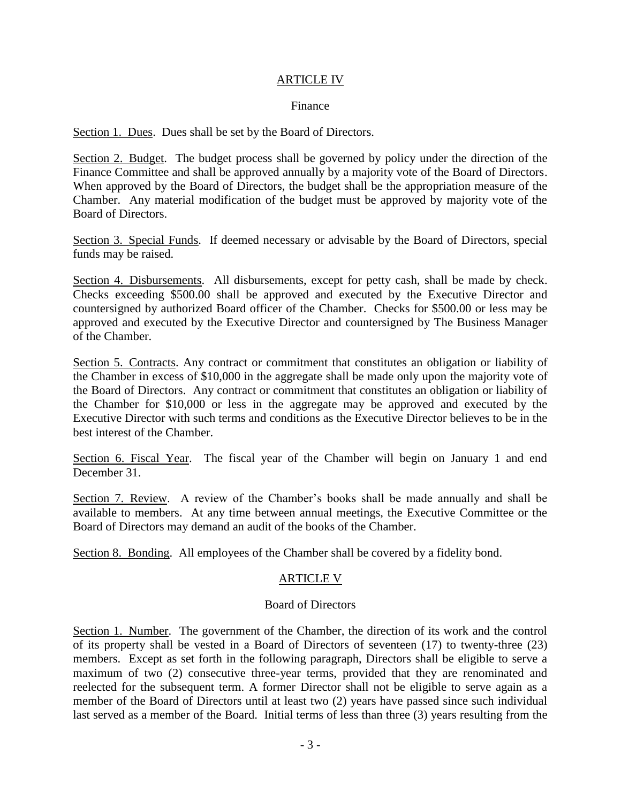#### ARTICLE IV

#### Finance

Section 1. Dues. Dues shall be set by the Board of Directors.

Section 2. Budget. The budget process shall be governed by policy under the direction of the Finance Committee and shall be approved annually by a majority vote of the Board of Directors. When approved by the Board of Directors, the budget shall be the appropriation measure of the Chamber. Any material modification of the budget must be approved by majority vote of the Board of Directors.

Section 3. Special Funds. If deemed necessary or advisable by the Board of Directors, special funds may be raised.

Section 4. Disbursements. All disbursements, except for petty cash, shall be made by check. Checks exceeding \$500.00 shall be approved and executed by the Executive Director and countersigned by authorized Board officer of the Chamber. Checks for \$500.00 or less may be approved and executed by the Executive Director and countersigned by The Business Manager of the Chamber.

Section 5. Contracts. Any contract or commitment that constitutes an obligation or liability of the Chamber in excess of \$10,000 in the aggregate shall be made only upon the majority vote of the Board of Directors. Any contract or commitment that constitutes an obligation or liability of the Chamber for \$10,000 or less in the aggregate may be approved and executed by the Executive Director with such terms and conditions as the Executive Director believes to be in the best interest of the Chamber.

Section 6. Fiscal Year. The fiscal year of the Chamber will begin on January 1 and end December 31.

Section 7. Review. A review of the Chamber's books shall be made annually and shall be available to members. At any time between annual meetings, the Executive Committee or the Board of Directors may demand an audit of the books of the Chamber.

Section 8. Bonding. All employees of the Chamber shall be covered by a fidelity bond.

#### ARTICLE V

#### Board of Directors

Section 1. Number. The government of the Chamber, the direction of its work and the control of its property shall be vested in a Board of Directors of seventeen (17) to twenty-three (23) members. Except as set forth in the following paragraph, Directors shall be eligible to serve a maximum of two (2) consecutive three-year terms, provided that they are renominated and reelected for the subsequent term. A former Director shall not be eligible to serve again as a member of the Board of Directors until at least two (2) years have passed since such individual last served as a member of the Board. Initial terms of less than three (3) years resulting from the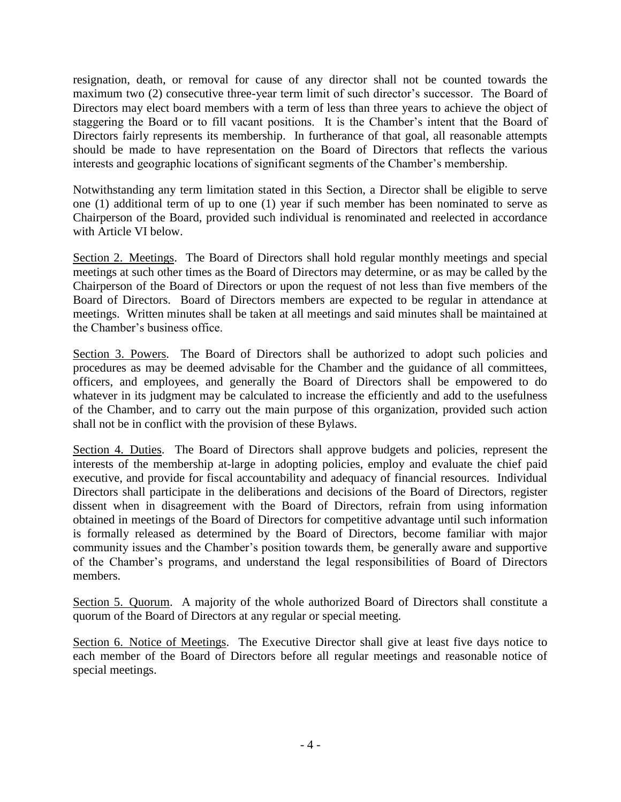resignation, death, or removal for cause of any director shall not be counted towards the maximum two (2) consecutive three-year term limit of such director's successor. The Board of Directors may elect board members with a term of less than three years to achieve the object of staggering the Board or to fill vacant positions. It is the Chamber's intent that the Board of Directors fairly represents its membership. In furtherance of that goal, all reasonable attempts should be made to have representation on the Board of Directors that reflects the various interests and geographic locations of significant segments of the Chamber's membership.

Notwithstanding any term limitation stated in this Section, a Director shall be eligible to serve one (1) additional term of up to one (1) year if such member has been nominated to serve as Chairperson of the Board, provided such individual is renominated and reelected in accordance with Article VI below.

Section 2. Meetings. The Board of Directors shall hold regular monthly meetings and special meetings at such other times as the Board of Directors may determine, or as may be called by the Chairperson of the Board of Directors or upon the request of not less than five members of the Board of Directors. Board of Directors members are expected to be regular in attendance at meetings. Written minutes shall be taken at all meetings and said minutes shall be maintained at the Chamber's business office.

Section 3. Powers. The Board of Directors shall be authorized to adopt such policies and procedures as may be deemed advisable for the Chamber and the guidance of all committees, officers, and employees, and generally the Board of Directors shall be empowered to do whatever in its judgment may be calculated to increase the efficiently and add to the usefulness of the Chamber, and to carry out the main purpose of this organization, provided such action shall not be in conflict with the provision of these Bylaws.

Section 4. Duties. The Board of Directors shall approve budgets and policies, represent the interests of the membership at-large in adopting policies, employ and evaluate the chief paid executive, and provide for fiscal accountability and adequacy of financial resources. Individual Directors shall participate in the deliberations and decisions of the Board of Directors, register dissent when in disagreement with the Board of Directors, refrain from using information obtained in meetings of the Board of Directors for competitive advantage until such information is formally released as determined by the Board of Directors, become familiar with major community issues and the Chamber's position towards them, be generally aware and supportive of the Chamber's programs, and understand the legal responsibilities of Board of Directors members.

Section 5. Quorum. A majority of the whole authorized Board of Directors shall constitute a quorum of the Board of Directors at any regular or special meeting.

Section 6. Notice of Meetings. The Executive Director shall give at least five days notice to each member of the Board of Directors before all regular meetings and reasonable notice of special meetings.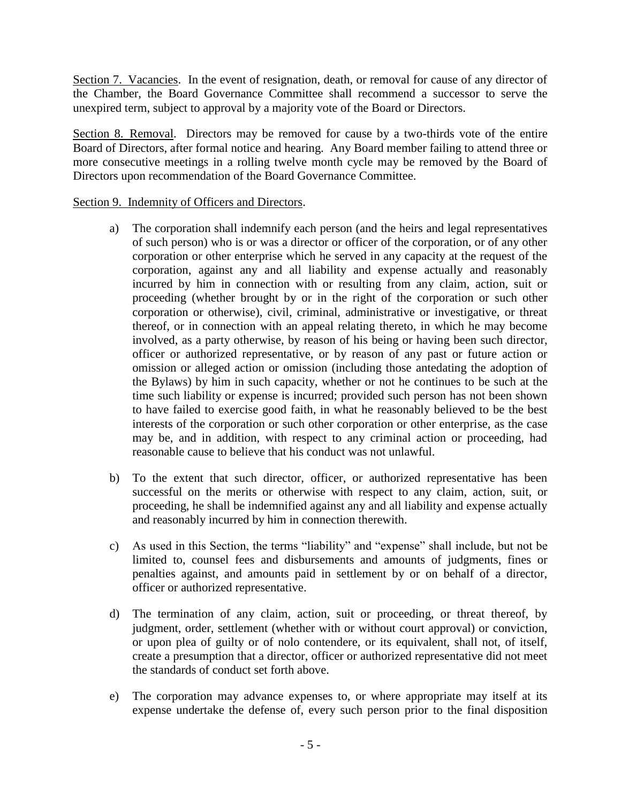Section 7. Vacancies. In the event of resignation, death, or removal for cause of any director of the Chamber, the Board Governance Committee shall recommend a successor to serve the unexpired term, subject to approval by a majority vote of the Board or Directors.

Section 8. Removal. Directors may be removed for cause by a two-thirds vote of the entire Board of Directors, after formal notice and hearing. Any Board member failing to attend three or more consecutive meetings in a rolling twelve month cycle may be removed by the Board of Directors upon recommendation of the Board Governance Committee.

#### Section 9. Indemnity of Officers and Directors.

- a) The corporation shall indemnify each person (and the heirs and legal representatives of such person) who is or was a director or officer of the corporation, or of any other corporation or other enterprise which he served in any capacity at the request of the corporation, against any and all liability and expense actually and reasonably incurred by him in connection with or resulting from any claim, action, suit or proceeding (whether brought by or in the right of the corporation or such other corporation or otherwise), civil, criminal, administrative or investigative, or threat thereof, or in connection with an appeal relating thereto, in which he may become involved, as a party otherwise, by reason of his being or having been such director, officer or authorized representative, or by reason of any past or future action or omission or alleged action or omission (including those antedating the adoption of the Bylaws) by him in such capacity, whether or not he continues to be such at the time such liability or expense is incurred; provided such person has not been shown to have failed to exercise good faith, in what he reasonably believed to be the best interests of the corporation or such other corporation or other enterprise, as the case may be, and in addition, with respect to any criminal action or proceeding, had reasonable cause to believe that his conduct was not unlawful.
- b) To the extent that such director, officer, or authorized representative has been successful on the merits or otherwise with respect to any claim, action, suit, or proceeding, he shall be indemnified against any and all liability and expense actually and reasonably incurred by him in connection therewith.
- c) As used in this Section, the terms "liability" and "expense" shall include, but not be limited to, counsel fees and disbursements and amounts of judgments, fines or penalties against, and amounts paid in settlement by or on behalf of a director, officer or authorized representative.
- d) The termination of any claim, action, suit or proceeding, or threat thereof, by judgment, order, settlement (whether with or without court approval) or conviction, or upon plea of guilty or of nolo contendere, or its equivalent, shall not, of itself, create a presumption that a director, officer or authorized representative did not meet the standards of conduct set forth above.
- e) The corporation may advance expenses to, or where appropriate may itself at its expense undertake the defense of, every such person prior to the final disposition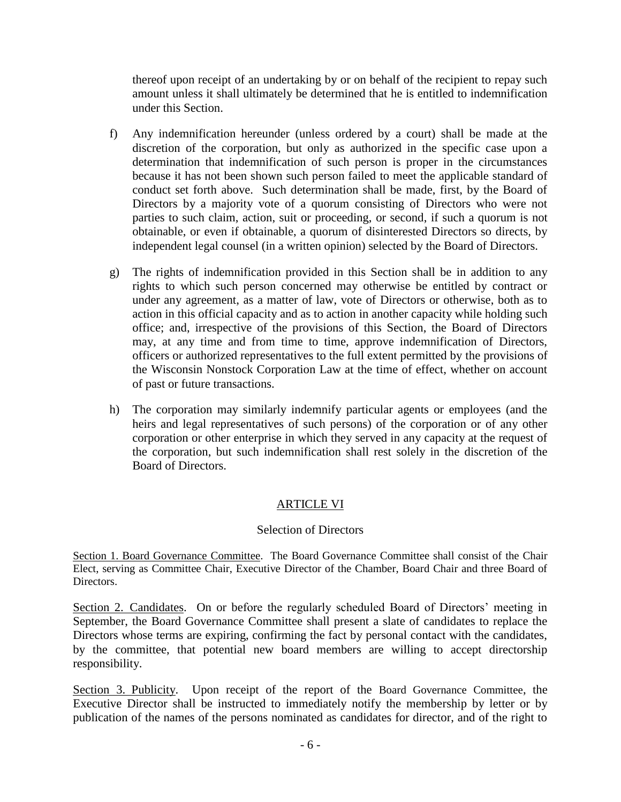thereof upon receipt of an undertaking by or on behalf of the recipient to repay such amount unless it shall ultimately be determined that he is entitled to indemnification under this Section.

- f) Any indemnification hereunder (unless ordered by a court) shall be made at the discretion of the corporation, but only as authorized in the specific case upon a determination that indemnification of such person is proper in the circumstances because it has not been shown such person failed to meet the applicable standard of conduct set forth above. Such determination shall be made, first, by the Board of Directors by a majority vote of a quorum consisting of Directors who were not parties to such claim, action, suit or proceeding, or second, if such a quorum is not obtainable, or even if obtainable, a quorum of disinterested Directors so directs, by independent legal counsel (in a written opinion) selected by the Board of Directors.
- g) The rights of indemnification provided in this Section shall be in addition to any rights to which such person concerned may otherwise be entitled by contract or under any agreement, as a matter of law, vote of Directors or otherwise, both as to action in this official capacity and as to action in another capacity while holding such office; and, irrespective of the provisions of this Section, the Board of Directors may, at any time and from time to time, approve indemnification of Directors, officers or authorized representatives to the full extent permitted by the provisions of the Wisconsin Nonstock Corporation Law at the time of effect, whether on account of past or future transactions.
- h) The corporation may similarly indemnify particular agents or employees (and the heirs and legal representatives of such persons) of the corporation or of any other corporation or other enterprise in which they served in any capacity at the request of the corporation, but such indemnification shall rest solely in the discretion of the Board of Directors.

# ARTICLE VI

## Selection of Directors

Section 1. Board Governance Committee. The Board Governance Committee shall consist of the Chair Elect, serving as Committee Chair, Executive Director of the Chamber, Board Chair and three Board of Directors.

Section 2. Candidates. On or before the regularly scheduled Board of Directors' meeting in September, the Board Governance Committee shall present a slate of candidates to replace the Directors whose terms are expiring, confirming the fact by personal contact with the candidates, by the committee, that potential new board members are willing to accept directorship responsibility.

Section 3. Publicity. Upon receipt of the report of the Board Governance Committee, the Executive Director shall be instructed to immediately notify the membership by letter or by publication of the names of the persons nominated as candidates for director, and of the right to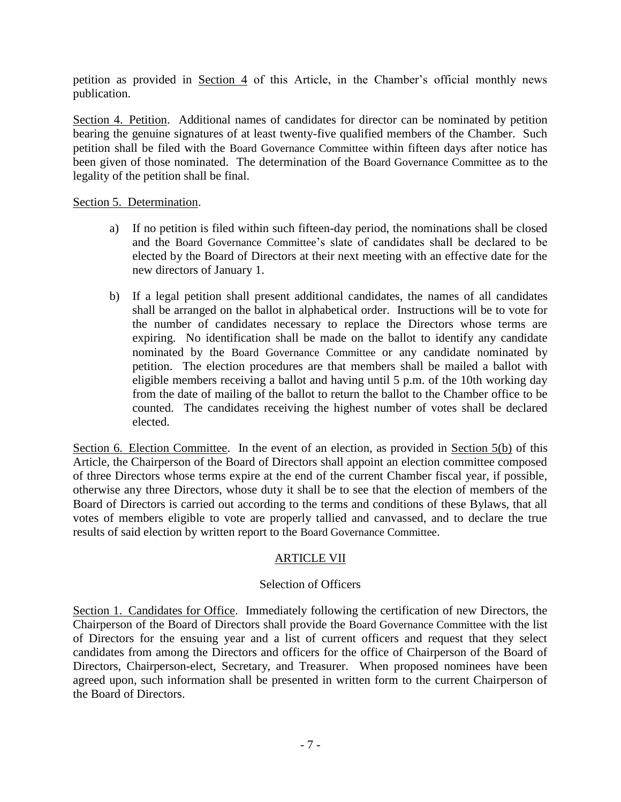petition as provided in Section 4 of this Article, in the Chamber's official monthly news publication.

Section 4. Petition. Additional names of candidates for director can be nominated by petition bearing the genuine signatures of at least twenty-five qualified members of the Chamber. Such petition shall be filed with the Board Governance Committee within fifteen days after notice has been given of those nominated. The determination of the Board Governance Committee as to the legality of the petition shall be final.

#### Section 5. Determination.

- a) If no petition is filed within such fifteen-day period, the nominations shall be closed and the Board Governance Committee's slate of candidates shall be declared to be elected by the Board of Directors at their next meeting with an effective date for the new directors of January 1.
- b) If a legal petition shall present additional candidates, the names of all candidates shall be arranged on the ballot in alphabetical order. Instructions will be to vote for the number of candidates necessary to replace the Directors whose terms are expiring. No identification shall be made on the ballot to identify any candidate nominated by the Board Governance Committee or any candidate nominated by petition. The election procedures are that members shall be mailed a ballot with eligible members receiving a ballot and having until 5 p.m. of the 10th working day from the date of mailing of the ballot to return the ballot to the Chamber office to be counted. The candidates receiving the highest number of votes shall be declared elected.

Section 6. Election Committee. In the event of an election, as provided in Section 5(b) of this Article, the Chairperson of the Board of Directors shall appoint an election committee composed of three Directors whose terms expire at the end of the current Chamber fiscal year, if possible, otherwise any three Directors, whose duty it shall be to see that the election of members of the Board of Directors is carried out according to the terms and conditions of these Bylaws, that all votes of members eligible to vote are properly tallied and canvassed, and to declare the true results of said election by written report to the Board Governance Committee.

## ARTICLE VII

#### Selection of Officers

Section 1. Candidates for Office. Immediately following the certification of new Directors, the Chairperson of the Board of Directors shall provide the Board Governance Committee with the list of Directors for the ensuing year and a list of current officers and request that they select candidates from among the Directors and officers for the office of Chairperson of the Board of Directors, Chairperson-elect, Secretary, and Treasurer. When proposed nominees have been agreed upon, such information shall be presented in written form to the current Chairperson of the Board of Directors.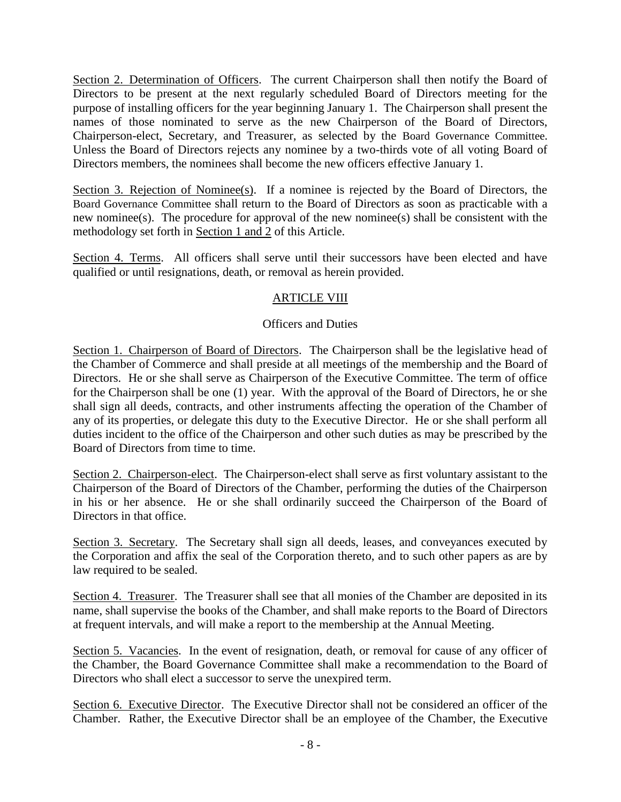Section 2. Determination of Officers. The current Chairperson shall then notify the Board of Directors to be present at the next regularly scheduled Board of Directors meeting for the purpose of installing officers for the year beginning January 1. The Chairperson shall present the names of those nominated to serve as the new Chairperson of the Board of Directors, Chairperson-elect, Secretary, and Treasurer, as selected by the Board Governance Committee. Unless the Board of Directors rejects any nominee by a two-thirds vote of all voting Board of Directors members, the nominees shall become the new officers effective January 1.

Section 3. Rejection of Nominee(s). If a nominee is rejected by the Board of Directors, the Board Governance Committee shall return to the Board of Directors as soon as practicable with a new nominee(s). The procedure for approval of the new nominee(s) shall be consistent with the methodology set forth in Section 1 and 2 of this Article.

Section 4. Terms. All officers shall serve until their successors have been elected and have qualified or until resignations, death, or removal as herein provided.

### ARTICLE VIII

### Officers and Duties

Section 1. Chairperson of Board of Directors. The Chairperson shall be the legislative head of the Chamber of Commerce and shall preside at all meetings of the membership and the Board of Directors. He or she shall serve as Chairperson of the Executive Committee. The term of office for the Chairperson shall be one (1) year. With the approval of the Board of Directors, he or she shall sign all deeds, contracts, and other instruments affecting the operation of the Chamber of any of its properties, or delegate this duty to the Executive Director. He or she shall perform all duties incident to the office of the Chairperson and other such duties as may be prescribed by the Board of Directors from time to time.

Section 2. Chairperson-elect. The Chairperson-elect shall serve as first voluntary assistant to the Chairperson of the Board of Directors of the Chamber, performing the duties of the Chairperson in his or her absence. He or she shall ordinarily succeed the Chairperson of the Board of Directors in that office.

Section 3. Secretary. The Secretary shall sign all deeds, leases, and conveyances executed by the Corporation and affix the seal of the Corporation thereto, and to such other papers as are by law required to be sealed.

Section 4. Treasurer. The Treasurer shall see that all monies of the Chamber are deposited in its name, shall supervise the books of the Chamber, and shall make reports to the Board of Directors at frequent intervals, and will make a report to the membership at the Annual Meeting.

Section 5. Vacancies. In the event of resignation, death, or removal for cause of any officer of the Chamber, the Board Governance Committee shall make a recommendation to the Board of Directors who shall elect a successor to serve the unexpired term.

Section 6. Executive Director. The Executive Director shall not be considered an officer of the Chamber. Rather, the Executive Director shall be an employee of the Chamber, the Executive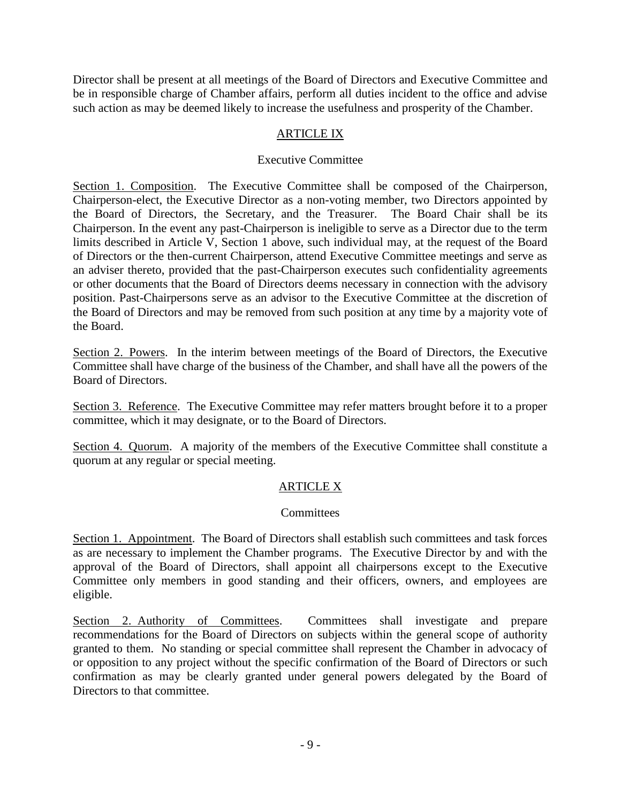Director shall be present at all meetings of the Board of Directors and Executive Committee and be in responsible charge of Chamber affairs, perform all duties incident to the office and advise such action as may be deemed likely to increase the usefulness and prosperity of the Chamber.

# ARTICLE IX

## Executive Committee

Section 1. Composition. The Executive Committee shall be composed of the Chairperson, Chairperson-elect, the Executive Director as a non-voting member, two Directors appointed by the Board of Directors, the Secretary, and the Treasurer. The Board Chair shall be its Chairperson. In the event any past-Chairperson is ineligible to serve as a Director due to the term limits described in Article V, Section 1 above, such individual may, at the request of the Board of Directors or the then-current Chairperson, attend Executive Committee meetings and serve as an adviser thereto, provided that the past-Chairperson executes such confidentiality agreements or other documents that the Board of Directors deems necessary in connection with the advisory position. Past-Chairpersons serve as an advisor to the Executive Committee at the discretion of the Board of Directors and may be removed from such position at any time by a majority vote of the Board.

Section 2. Powers. In the interim between meetings of the Board of Directors, the Executive Committee shall have charge of the business of the Chamber, and shall have all the powers of the Board of Directors.

Section 3. Reference. The Executive Committee may refer matters brought before it to a proper committee, which it may designate, or to the Board of Directors.

Section 4. Quorum. A majority of the members of the Executive Committee shall constitute a quorum at any regular or special meeting.

# ARTICLE X

## **Committees**

Section 1. Appointment. The Board of Directors shall establish such committees and task forces as are necessary to implement the Chamber programs. The Executive Director by and with the approval of the Board of Directors, shall appoint all chairpersons except to the Executive Committee only members in good standing and their officers, owners, and employees are eligible.

Section 2. Authority of Committees. Committees shall investigate and prepare recommendations for the Board of Directors on subjects within the general scope of authority granted to them. No standing or special committee shall represent the Chamber in advocacy of or opposition to any project without the specific confirmation of the Board of Directors or such confirmation as may be clearly granted under general powers delegated by the Board of Directors to that committee.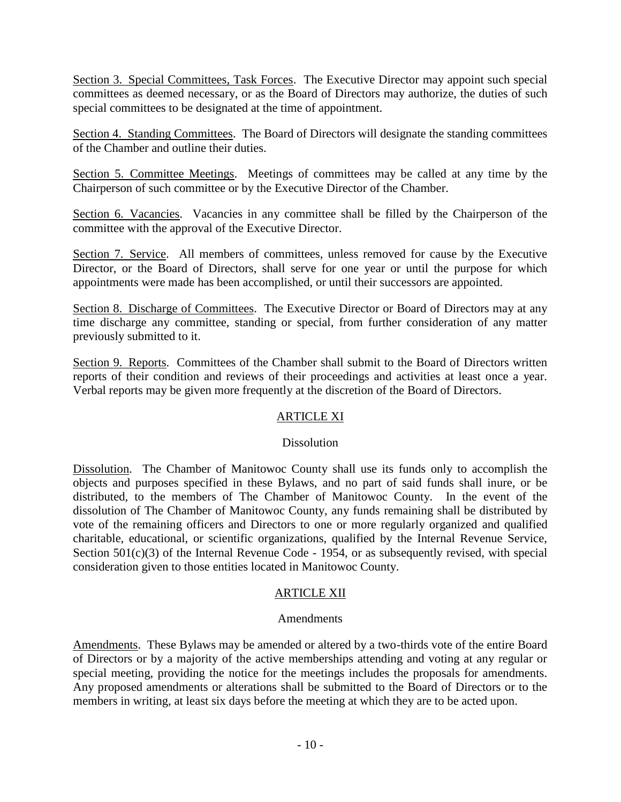Section 3. Special Committees, Task Forces. The Executive Director may appoint such special committees as deemed necessary, or as the Board of Directors may authorize, the duties of such special committees to be designated at the time of appointment.

Section 4. Standing Committees. The Board of Directors will designate the standing committees of the Chamber and outline their duties.

Section 5. Committee Meetings. Meetings of committees may be called at any time by the Chairperson of such committee or by the Executive Director of the Chamber.

Section 6. Vacancies. Vacancies in any committee shall be filled by the Chairperson of the committee with the approval of the Executive Director.

Section 7. Service. All members of committees, unless removed for cause by the Executive Director, or the Board of Directors, shall serve for one year or until the purpose for which appointments were made has been accomplished, or until their successors are appointed.

Section 8. Discharge of Committees. The Executive Director or Board of Directors may at any time discharge any committee, standing or special, from further consideration of any matter previously submitted to it.

Section 9. Reports. Committees of the Chamber shall submit to the Board of Directors written reports of their condition and reviews of their proceedings and activities at least once a year. Verbal reports may be given more frequently at the discretion of the Board of Directors.

## ARTICLE XI

#### **Dissolution**

Dissolution. The Chamber of Manitowoc County shall use its funds only to accomplish the objects and purposes specified in these Bylaws, and no part of said funds shall inure, or be distributed, to the members of The Chamber of Manitowoc County. In the event of the dissolution of The Chamber of Manitowoc County, any funds remaining shall be distributed by vote of the remaining officers and Directors to one or more regularly organized and qualified charitable, educational, or scientific organizations, qualified by the Internal Revenue Service, Section  $501(c)(3)$  of the Internal Revenue Code - 1954, or as subsequently revised, with special consideration given to those entities located in Manitowoc County.

## ARTICLE XII

#### Amendments

Amendments. These Bylaws may be amended or altered by a two-thirds vote of the entire Board of Directors or by a majority of the active memberships attending and voting at any regular or special meeting, providing the notice for the meetings includes the proposals for amendments. Any proposed amendments or alterations shall be submitted to the Board of Directors or to the members in writing, at least six days before the meeting at which they are to be acted upon.